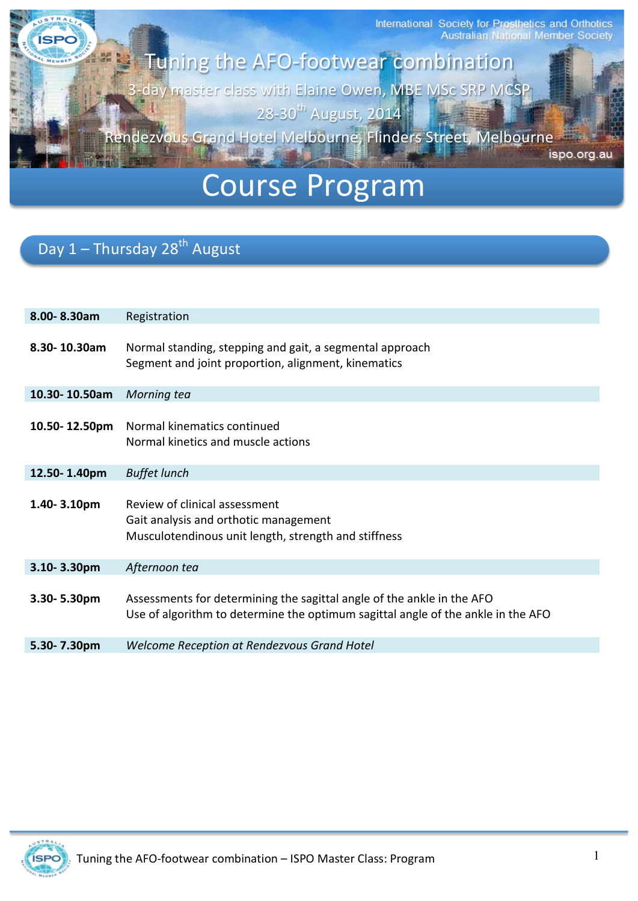International Society for Prosthetics and Orthotics<br>Australian National Member Society

Tuning the AFO-footwear combination 3-day master class with Elaine Owen, MBE MSc SRP MCSP 28-30<sup>th</sup> August, 2014<sup>th</sup>

Rendezvous Grand Hotel Melbourne, Flinders Street, Melbourne

ispo.org.au

# Course Program

# Day 1 - Thursday 28<sup>th</sup> August

**ÍSPO** 

| 8.00-8.30am   | Registration                                                                                                                                               |
|---------------|------------------------------------------------------------------------------------------------------------------------------------------------------------|
| 8.30-10.30am  | Normal standing, stepping and gait, a segmental approach<br>Segment and joint proportion, alignment, kinematics                                            |
| 10.30-10.50am | Morning tea                                                                                                                                                |
| 10.50-12.50pm | Normal kinematics continued<br>Normal kinetics and muscle actions                                                                                          |
| 12.50-1.40pm  | <b>Buffet lunch</b>                                                                                                                                        |
| 1.40-3.10pm   | Review of clinical assessment<br>Gait analysis and orthotic management<br>Musculotendinous unit length, strength and stiffness                             |
| 3.10-3.30pm   | Afternoon tea                                                                                                                                              |
| 3.30-5.30pm   | Assessments for determining the sagittal angle of the ankle in the AFO<br>Use of algorithm to determine the optimum sagittal angle of the ankle in the AFO |
| 5.30-7.30pm   | Welcome Reception at Rendezvous Grand Hotel                                                                                                                |
|               |                                                                                                                                                            |